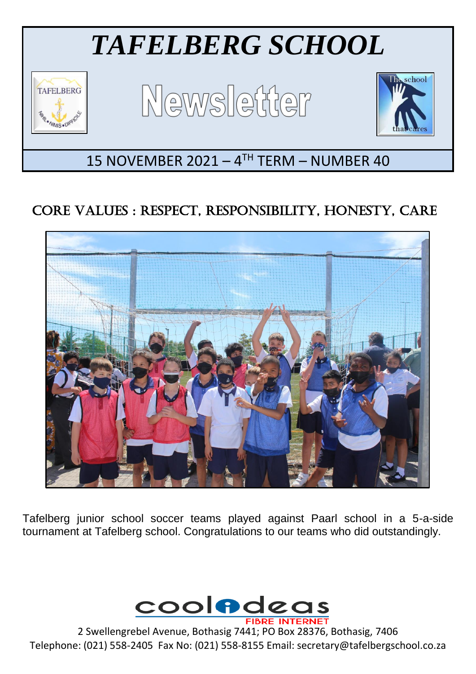

# CORE VALUES : RESPECT, RESPONSIBILITY, HONESTY, CARE



Tafelberg junior school soccer teams played against Paarl school in a 5-a-side tournament at Tafelberg school. Congratulations to our teams who did outstandingly.



2 Swellengrebel Avenue, Bothasig 7441; PO Box 28376, Bothasig, 7406 Telephone: (021) 558-2405 Fax No: (021) 558-8155 Email: secretary@tafelbergschool.co.za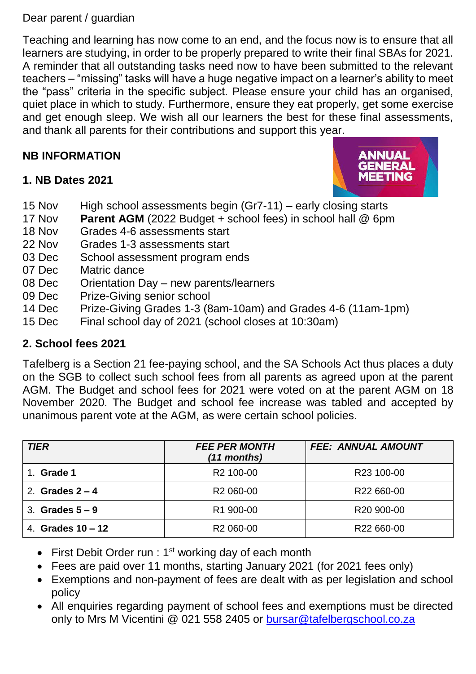#### Dear parent / guardian

Teaching and learning has now come to an end, and the focus now is to ensure that all learners are studying, in order to be properly prepared to write their final SBAs for 2021. A reminder that all outstanding tasks need now to have been submitted to the relevant teachers – "missing" tasks will have a huge negative impact on a learner's ability to meet the "pass" criteria in the specific subject. Please ensure your child has an organised, quiet place in which to study. Furthermore, ensure they eat properly, get some exercise and get enough sleep. We wish all our learners the best for these final assessments, and thank all parents for their contributions and support this year.

## **NB INFORMATION**

## **1. NB Dates 2021**



- 15 Nov High school assessments begin (Gr7-11) early closing starts
- 17 Nov **Parent AGM** (2022 Budget + school fees) in school hall @ 6pm
- 18 Nov Grades 4-6 assessments start
- 22 Nov Grades 1-3 assessments start
- 03 Dec School assessment program ends
- 07 Dec Matric dance
- 08 Dec Orientation Day new parents/learners
- 09 Dec Prize-Giving senior school
- 14 Dec Prize-Giving Grades 1-3 (8am-10am) and Grades 4-6 (11am-1pm)
- 15 Dec Final school day of 2021 (school closes at 10:30am)

## **2. School fees 2021**

Tafelberg is a Section 21 fee-paying school, and the SA Schools Act thus places a duty on the SGB to collect such school fees from all parents as agreed upon at the parent AGM. The Budget and school fees for 2021 were voted on at the parent AGM on 18 November 2020. The Budget and school fee increase was tabled and accepted by unanimous parent vote at the AGM, as were certain school policies.

| <b>TIER</b>         | <b>FEE PER MONTH</b><br>$(11$ months) | <b>FEE: ANNUAL AMOUNT</b> |
|---------------------|---------------------------------------|---------------------------|
| 1. Grade 1          | R <sub>2</sub> 100-00                 | R23 100-00                |
| 2. Grades $2 - 4$   | R <sub>2</sub> 060-00                 | R22 660-00                |
| 3. Grades $5-9$     | R1 900-00                             | R <sub>20</sub> 900-00    |
| 4. Grades $10 - 12$ | R <sub>2</sub> 060-00                 | R22 660-00                |

- First Debit Order run :  $1<sup>st</sup>$  working day of each month
- Fees are paid over 11 months, starting January 2021 (for 2021 fees only)
- Exemptions and non-payment of fees are dealt with as per legislation and school policy
- All enquiries regarding payment of school fees and exemptions must be directed only to Mrs M Vicentini @ 021 558 2405 or [bursar@tafelbergschool.co.za](mailto:bursar@tafelbergschool.co.za)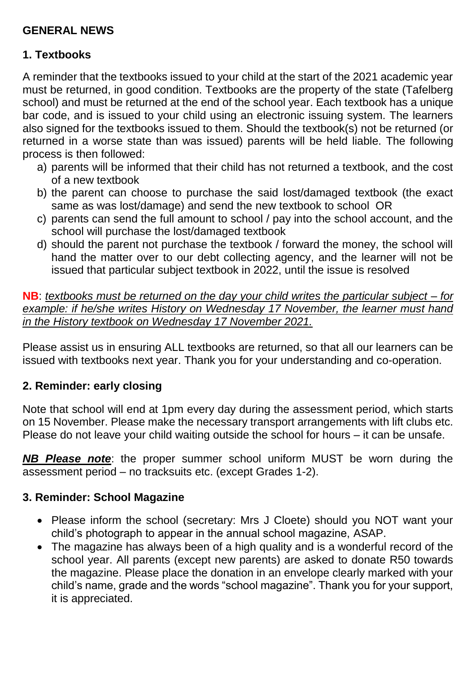## **GENERAL NEWS**

## **1. Textbooks**

A reminder that the textbooks issued to your child at the start of the 2021 academic year must be returned, in good condition. Textbooks are the property of the state (Tafelberg school) and must be returned at the end of the school year. Each textbook has a unique bar code, and is issued to your child using an electronic issuing system. The learners also signed for the textbooks issued to them. Should the textbook(s) not be returned (or returned in a worse state than was issued) parents will be held liable. The following process is then followed:

- a) parents will be informed that their child has not returned a textbook, and the cost of a new textbook
- b) the parent can choose to purchase the said lost/damaged textbook (the exact same as was lost/damage) and send the new textbook to school OR
- c) parents can send the full amount to school / pay into the school account, and the school will purchase the lost/damaged textbook
- d) should the parent not purchase the textbook / forward the money, the school will hand the matter over to our debt collecting agency, and the learner will not be issued that particular subject textbook in 2022, until the issue is resolved

**NB**: *textbooks must be returned on the day your child writes the particular subject – for example: if he/she writes History on Wednesday 17 November, the learner must hand in the History textbook on Wednesday 17 November 2021.*

Please assist us in ensuring ALL textbooks are returned, so that all our learners can be issued with textbooks next year. Thank you for your understanding and co-operation.

## **2. Reminder: early closing**

Note that school will end at 1pm every day during the assessment period, which starts on 15 November. Please make the necessary transport arrangements with lift clubs etc. Please do not leave your child waiting outside the school for hours – it can be unsafe.

*NB Please note*: the proper summer school uniform MUST be worn during the assessment period – no tracksuits etc. (except Grades 1-2).

## **3. Reminder: School Magazine**

- Please inform the school (secretary: Mrs J Cloete) should you NOT want your child's photograph to appear in the annual school magazine, ASAP.
- The magazine has always been of a high quality and is a wonderful record of the school year. All parents (except new parents) are asked to donate R50 towards the magazine. Please place the donation in an envelope clearly marked with your child's name, grade and the words "school magazine". Thank you for your support, it is appreciated.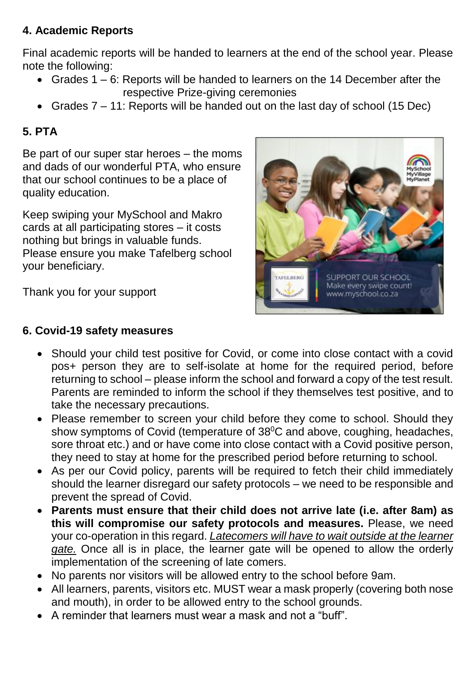# **4. Academic Reports**

Final academic reports will be handed to learners at the end of the school year. Please note the following:

- Grades 1 6: Reports will be handed to learners on the 14 December after the respective Prize-giving ceremonies
- Grades 7 11: Reports will be handed out on the last day of school (15 Dec)

# **5. PTA**

Be part of our super star heroes – the moms and dads of our wonderful PTA, who ensure that our school continues to be a place of quality education.

Keep swiping your MySchool and Makro cards at all participating stores – it costs nothing but brings in valuable funds. Please ensure you make Tafelberg school your beneficiary.

Thank you for your support

#### **6. Covid-19 safety measures**



- Should your child test positive for Covid, or come into close contact with a covid pos+ person they are to self-isolate at home for the required period, before returning to school – please inform the school and forward a copy of the test result. Parents are reminded to inform the school if they themselves test positive, and to take the necessary precautions.
- Please remember to screen your child before they come to school. Should they show symptoms of Covid (temperature of 38<sup>°</sup>C and above, coughing, headaches, sore throat etc.) and or have come into close contact with a Covid positive person, they need to stay at home for the prescribed period before returning to school.
- As per our Covid policy, parents will be required to fetch their child immediately should the learner disregard our safety protocols – we need to be responsible and prevent the spread of Covid.
- **Parents must ensure that their child does not arrive late (i.e. after 8am) as this will compromise our safety protocols and measures.** Please, we need your co-operation in this regard. *Latecomers will have to wait outside at the learner gate.* Once all is in place, the learner gate will be opened to allow the orderly implementation of the screening of late comers.
- No parents nor visitors will be allowed entry to the school before 9am.
- All learners, parents, visitors etc. MUST wear a mask properly (covering both nose and mouth), in order to be allowed entry to the school grounds.
- A reminder that learners must wear a mask and not a "buff".